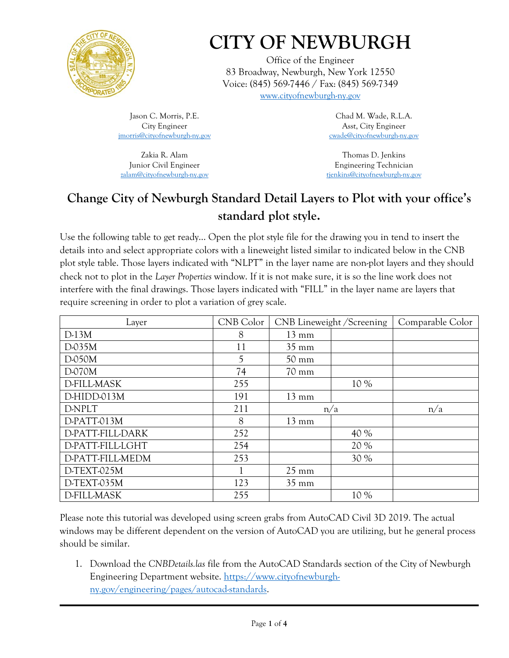

## **CITY OF NEWBURGH**

Office of the Engineer 83 Broadway, Newburgh, New York 12550 Voice: (845) 569-7446 / Fax: (845) 569-7349 [www.cityofnewburgh-ny.gov](http://www.cityofnewburgh-ny.gov/)

Jason C. Morris, P.E. City Engineer [jmorris@cityofnewburgh-ny.gov](mailto:jmorris@cityofnewburgh-ny.gov)

Zakia R. Alam Junior Civil Engineer [zalam@cityofnewburgh-ny.gov](mailto:zalam@cityofnewburgh-ny.gov)

Chad M. Wade, R.L.A. Asst, City Engineer [cwade@cityofnewburgh-ny.gov](mailto:cwade@cityofnewburgh-ny.gov)

Thomas D. Jenkins Engineering Technician [tjenkins@cityofnewburgh-ny.gov](mailto:tjenkins@cityofnewburgh-ny.gov)

## **Change City of Newburgh Standard Detail Layers to Plot with your office's standard plot style.**

Use the following table to get ready… Open the plot style file for the drawing you in tend to insert the details into and select appropriate colors with a lineweight listed similar to indicated below in the CNB plot style table. Those layers indicated with "NLPT" in the layer name are non-plot layers and they should check not to plot in the *Layer Properties* window. If it is not make sure, it is so the line work does not interfere with the final drawings. Those layers indicated with "FILL" in the layer name are layers that require screening in order to plot a variation of grey scale.

| Layer              | CNB Color |                 | CNB Lineweight / Screening | Comparable Color |
|--------------------|-----------|-----------------|----------------------------|------------------|
| $D-13M$            | 8         | $13 \text{ mm}$ |                            |                  |
| D-035M             | 11        | $35 \text{ mm}$ |                            |                  |
| D-050M             | 5         | $50 \text{ mm}$ |                            |                  |
| D-070M             | 74        | $70 \text{ mm}$ |                            |                  |
| <b>D-FILL-MASK</b> | 255       |                 | 10 %                       |                  |
| D-HIDD-013M        | 191       | $13 \text{ mm}$ |                            |                  |
| D-NPLT             | 211       |                 | n/a                        | n/a              |
| D-PATT-013M        | 8         | $13 \text{ mm}$ |                            |                  |
| D-PATT-FILL-DARK   | 252       |                 | 40 %                       |                  |
| D-PATT-FILL-LGHT   | 254       |                 | 20 %                       |                  |
| D-PATT-FILL-MEDM   | 253       |                 | 30 %                       |                  |
| D-TEXT-025M        |           | $25 \text{ mm}$ |                            |                  |
| D-TEXT-035M        | 123       | $35 \text{ mm}$ |                            |                  |
| <b>D-FILL-MASK</b> | 255       |                 | 10 %                       |                  |

Please note this tutorial was developed using screen grabs from AutoCAD Civil 3D 2019. The actual windows may be different dependent on the version of AutoCAD you are utilizing, but he general process should be similar.

1. Download the *CNBDetails.las* file from the AutoCAD Standards section of the City of Newburgh Engineering Department website. [https://www.cityofnewburgh](https://www.cityofnewburgh-ny.gov/engineering/pages/autocad-standards)[ny.gov/engineering/pages/autocad-standards.](https://www.cityofnewburgh-ny.gov/engineering/pages/autocad-standards)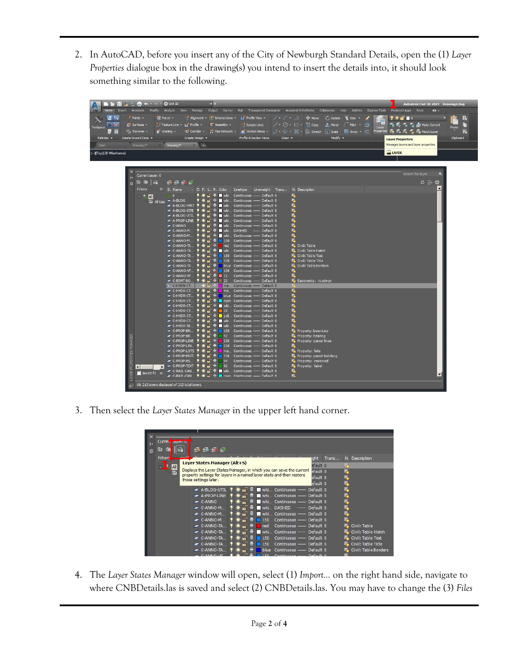2. In AutoCAD, before you insert any of the City of Newburgh Standard Details, open the (1) *Layer Properties* dialogue box in the drawing(s) you intend to insert the details into, it should look something similar to the following.

| ■ ● ■ ■ → → ■ ← · → · ☆ Civil 3D<br>Home<br>C3D                                                                                                                                                        | JE<br>Insert Annotate Modify Analyze View<br>Manage                                                                                                                                                                                                                                                                                                                                                                                                                                                                                                                                                                                                                                                                                                                                                                                                                                                                                                                                                                                                                                                                                                                                                                                                                                                                                                                                                                                                                                                                                                                                       |                                                                                                                                                                                                                                                                                                                                                                                                                                                                                                                                                                                                                                                                                                                                                                                                                                                                                                                                                                                                                                                                                                                                                                                                                                                                                                                                                                                                                                                                                                                                                                                                                                                                                                         | Output Survey Rail Transparent Commands Autodesk InfraWorks Collaborate Help Add-ins Express Tools Featured Apps River                                                                                                                                                                                                                                                                                                                                                                                                                                                                                                                          | Autodesk Civil 3D 2019 Drawing2.dwg<br>$\mathbf{a}$ .                                                                                                                                                                                                               |                                    |
|--------------------------------------------------------------------------------------------------------------------------------------------------------------------------------------------------------|-------------------------------------------------------------------------------------------------------------------------------------------------------------------------------------------------------------------------------------------------------------------------------------------------------------------------------------------------------------------------------------------------------------------------------------------------------------------------------------------------------------------------------------------------------------------------------------------------------------------------------------------------------------------------------------------------------------------------------------------------------------------------------------------------------------------------------------------------------------------------------------------------------------------------------------------------------------------------------------------------------------------------------------------------------------------------------------------------------------------------------------------------------------------------------------------------------------------------------------------------------------------------------------------------------------------------------------------------------------------------------------------------------------------------------------------------------------------------------------------------------------------------------------------------------------------------------------------|---------------------------------------------------------------------------------------------------------------------------------------------------------------------------------------------------------------------------------------------------------------------------------------------------------------------------------------------------------------------------------------------------------------------------------------------------------------------------------------------------------------------------------------------------------------------------------------------------------------------------------------------------------------------------------------------------------------------------------------------------------------------------------------------------------------------------------------------------------------------------------------------------------------------------------------------------------------------------------------------------------------------------------------------------------------------------------------------------------------------------------------------------------------------------------------------------------------------------------------------------------------------------------------------------------------------------------------------------------------------------------------------------------------------------------------------------------------------------------------------------------------------------------------------------------------------------------------------------------------------------------------------------------------------------------------------------------|-------------------------------------------------------------------------------------------------------------------------------------------------------------------------------------------------------------------------------------------------------------------------------------------------------------------------------------------------------------------------------------------------------------------------------------------------------------------------------------------------------------------------------------------------------------------------------------------------------------------------------------------------|---------------------------------------------------------------------------------------------------------------------------------------------------------------------------------------------------------------------------------------------------------------------|------------------------------------|
| <b>IIC</b> Try<br>o <sup>*</sup> Points -<br>Surfaces -<br>Toolspace<br>F 9<br><sup>4</sup> <sup>1</sup> / <sub>4</sub> Traverse -<br>Create Ground Data -<br>Palettes $\sim$<br>$Draving 1*$<br>Start | Parcel +<br>Alignment $\cdot$ $\frac{18}{15}$ Intersections $\cdot$<br>"J Feature Line - M" Profile -<br>Assembly -<br><b>Di Corridor + Ji Pipe Network +</b><br>Grading .<br>Create Design -<br>Drawing2*<br>$x +$                                                                                                                                                                                                                                                                                                                                                                                                                                                                                                                                                                                                                                                                                                                                                                                                                                                                                                                                                                                                                                                                                                                                                                                                                                                                                                                                                                       | <b>La</b> Profile View ·<br>$-$ Sample Lines<br>Profile & Section Views<br>$Draw -$                                                                                                                                                                                                                                                                                                                                                                                                                                                                                                                                                                                                                                                                                                                                                                                                                                                                                                                                                                                                                                                                                                                                                                                                                                                                                                                                                                                                                                                                                                                                                                                                                     | / • / • ) . < → Move ( / Rotate % Trim •<br>/ • ⊙ • □ • S Copy △ Mirror (Fillet •<br>A Section Views • ブ • ⊙ • 圂 • 队 Stretch nscale B Array • ∈<br>Modify $\sim$                                                                                                                                                                                                                                                                                                                                                                                                                                                                                | $\bullet$ $\bullet$ of $\blacksquare$ $\circ$<br>Æ<br>$\sim$ $\approx$ $\sim$ $\sim$ $\sim$ $\sim$ Make Current<br>õ<br>Layer<br><b>Properties</b><br>$\leq$ , $\leq$ , $\leq$ $\leq$ Match Layer<br><b>Layer Properties</b><br>Manages layers and layer properties | 艮<br>Г٦<br>Paste<br>晸<br>Clipboard |
| -][Top][2D Wireframe]                                                                                                                                                                                  |                                                                                                                                                                                                                                                                                                                                                                                                                                                                                                                                                                                                                                                                                                                                                                                                                                                                                                                                                                                                                                                                                                                                                                                                                                                                                                                                                                                                                                                                                                                                                                                           |                                                                                                                                                                                                                                                                                                                                                                                                                                                                                                                                                                                                                                                                                                                                                                                                                                                                                                                                                                                                                                                                                                                                                                                                                                                                                                                                                                                                                                                                                                                                                                                                                                                                                                         |                                                                                                                                                                                                                                                                                                                                                                                                                                                                                                                                                                                                                                                 | <b>BM</b> LAYER                                                                                                                                                                                                                                                     |                                    |
| 娄<br><b>Filters</b><br>ERTIES<br>$\left  \right $                                                                                                                                                      | Current layer: 0<br>$\n  9\n  9\n  6\n$<br>临 唐   编<br>« S. Name<br>$\vee$ 0<br>$=$ $\blacksquare$<br>All Use <b>A-BLDG</b><br><u><del></del></u> A-BLDG-FPRT ♥ <del>Wennel &amp;</del> whi Continuous — Default 0<br><b><del></del></b> A-BLDG-SITE ♥ ☀ <del>■</del> <del>■</del> ■ whi Continuous — Default 0<br>A-BLDG-UTIL<br><b>A-PROP-LINE ♥ <del>★ m</del></b> → whi Continuous — Default 0<br>$-C-ANNO$<br>$\sim$ C-ANNO-M<br>$-C-ANNO-M$ .<br>$\sim$ C-ANNO-M<br>$\sim$ C-ANNO-TA<br>C-ANNO-TA<br>$\sim$ C-ANNO-TA<br>C-ANNO-TA<br>C-ANNO-VF<br>$\blacktriangleright$ C-ANNO-VE $\blacklozenge \mathcal{H} \blacksquare$ 11<br>$\sim$ C-ESMT-RO<br>$\frac{1}{2}$ $\frac{1}{2}$ $\frac{1}{2}$ $\frac{1}{2}$ $\frac{1}{2}$ $\frac{1}{2}$ $\frac{1}{2}$ $\frac{1}{2}$ $\frac{1}{2}$ $\frac{1}{2}$ $\frac{1}{2}$ $\frac{1}{2}$ $\frac{1}{2}$ $\frac{1}{2}$ $\frac{1}{2}$ $\frac{1}{2}$ $\frac{1}{2}$ $\frac{1}{2}$ $\frac{1}{2}$ $\frac{1}{2}$ $\frac{1}{2}$ $\frac{1}{2}$<br>∠ C-HYDR-CT   9 a n n continuous — Default 0<br>C-HYDR-CT<br>$\blacktriangleright$ C-HYDR-CT $\blacklozenge$<br>C-HYDR-CT<br>C-HYDR-CT<br>$\blacksquare$ $\blacksquare$ $\blacksquare$ 30<br>C-HYDR-CT<br>C-HYDR-CT<br>C-HYDR-CT<br>$\mathbf{r}$<br>$\blacktriangleright$ C-HYDR-TE.<br>C-PROP-BN.<br>C-PROP-BR.<br>$\mathbf{m}^2 =$<br>92<br>C-PROP-LINE<br>$\sim$ C-PROP-LIN<br>C-PROP-LOTS<br>C-PROP-PATT<br>$\blacksquare$ $\blacksquare$ $\blacksquare$ $\blacksquare$ 94<br>C-PROP-RS<br>$\bullet$ C-PROP-TEXT $\bullet$ $\bullet$ $\bullet$ $\bullet$ $\bullet$ 2<br><b>INTE</b><br>Invert fil « | O. F. L P. Color Linetype Lineweight Trans N. Description<br>♥ ☀ □ 〒 ■ whi Continuous —— Default 0<br>♥ <del>★ m</del> <del>=</del> Whi Continuous —— Default 0<br>$\blacksquare$ $\blacksquare$ whi Continuous — Default 0<br>$\bullet$ $\bullet$ $\bullet$ $\bullet$ whi Continuous - Default 0<br>ਿm ਦੇ Mill Whi DASHED —— Default 0<br>$\begin{bmatrix} \mathbf{m} & \mathbf{m} \end{bmatrix}$ $\mathbf{m}$ whi Continuous ---- Default 0<br>$\bullet$ $\bullet$ $\bullet$ 150 Continuous — Default 0<br>$\bullet$ $\bullet$ $\bullet$ $\bullet$ red Continuous — Default 0<br>$\blacksquare$ $\blacksquare$ whi Continuous - Default 0<br>$\bullet$ $\bullet$ $\bullet$ 150 Continuous — Default 0<br>$\bullet$ $\bullet$ $\bullet$ $\bullet$ blue Continuous — Default 0<br>$\frac{1}{2}$ $\frac{1}{2}$ 150 Continuous — Default 0<br>Continuous - Default 0<br>Continuous - Default 0<br>n <del>a</del> <del>a</del> ma Continuous —— Default 0<br>$\frac{1}{2}$ $\frac{1}{2}$ $\frac{1}{2}$ blue Continuous — Default 0<br>♥ ☀ m = loyan Continuous — Default 0<br>$\bullet$ $\bullet$ $\bullet$ $\bullet$ whi Continuous - Default 0<br>Continuous - Default 0<br>क्रि <sub>हा</sub> चि <mark>।</mark> yell Continuous —— Default 0<br>$\mathbb{F}_{\mathbf{m}}$ $\mathbb{F}$ $\mathbb{F}$ whi Continuous - Default 0<br>→ Whi Continuous - Default 0<br>$\frac{1}{2}$ $\frac{1}{2}$ 150 Continuous — Default 0<br>Continuous - Default 0<br>$\frac{1}{2}$ $\frac{1}{2}$ 230 Continuous — Default 0<br>$\mathbf{r}$ $\mathbf{r}$ = 150 Continuous — Default 0<br>• • Default 0<br>$\bullet$ $\bullet$ $\bullet$ 150 Continuous — Default 0<br>Continuous - Default 0<br>Continuous - Default 0 | $\blacksquare$<br>$\mathbb{F}_\bullet$<br>E.<br>$\mathbb{F}_{\bullet}$<br>$\mathbb{F}_\bullet$<br>E.<br>$\mathbf{F}_\bullet$<br>$\overline{\mathbf{r}}$<br>E.<br>鳳<br>Civil: Table<br>Civil: Table Hatch<br>Civil: Table Text<br>Civil: Table Title<br>Civil: Table Borders<br>属<br>属<br>E. Easements: roadway<br>œ<br>属<br>$\mathbb{F}_\bullet$<br>$\mathbb{F}_{\bullet}$<br>$\mathbb{F}_\bullet$<br>$\mathbb{F}_\bullet$<br>$\mathbb{F}_\bullet$<br>E.<br>風<br>Property: boundary<br>Property: bearing<br>Property: parcel lines<br>F<br>Property: lots<br>P. Property: parcel hatching<br>Property: reserved<br>P. Property: label<br>属<br>鳳 | Search for layer<br>$\sigma \rightarrow \alpha$                                                                                                                                                                                                                     |                                    |
|                                                                                                                                                                                                        | All: 212 layers displayed of 212 total layers                                                                                                                                                                                                                                                                                                                                                                                                                                                                                                                                                                                                                                                                                                                                                                                                                                                                                                                                                                                                                                                                                                                                                                                                                                                                                                                                                                                                                                                                                                                                             |                                                                                                                                                                                                                                                                                                                                                                                                                                                                                                                                                                                                                                                                                                                                                                                                                                                                                                                                                                                                                                                                                                                                                                                                                                                                                                                                                                                                                                                                                                                                                                                                                                                                                                         |                                                                                                                                                                                                                                                                                                                                                                                                                                                                                                                                                                                                                                                 |                                                                                                                                                                                                                                                                     |                                    |

3. Then select the *Layer States Manager* in the upper left hand corner.

|   | Curre, liayer: u       |                                                                                               |                        |       |                      |
|---|------------------------|-----------------------------------------------------------------------------------------------|------------------------|-------|----------------------|
| 类 | īz.                    | $\n  9\n  0\n$<br>അ<br>я                                                                      |                        |       |                      |
|   | Filterc                |                                                                                               | 'aht                   | Trans | N. Description       |
|   | All<br>EN <sup>3</sup> | Layer States Manager (Alt+S)                                                                  | efault <sub>0</sub>    |       | E.                   |
|   | Ġ                      | Displays the Layer States Manager, in which you can save the current                          | efault <sub>0</sub>    |       | 鳳                    |
|   |                        | property settings for layers in a named layer state and then restore<br>those settings later. | efault 0               |       | 鳳                    |
|   |                        |                                                                                               | efault <sub>0</sub>    |       | $\Box$               |
|   |                        | $\blacktriangleright$ A-BLDG-UTIL<br>whi Continuous - Default 0<br>ы                          |                        |       | Ę                    |
|   |                        | $\sqrt{2}$<br>н<br>A-PROP-LINE<br>whi Continuous - Default 0                                  |                        |       | Ę                    |
|   |                        | $\blacksquare$<br>÷<br>whi Continuous - Default 0<br>$\sim$ C-ANNO                            |                        |       | E,                   |
|   |                        | $\mathbf{m}^{\sim}$<br>whi DASHED<br>$\sim$ C-ANNO-M                                          | Default 0              |       | F.                   |
|   |                        | ்<br>$\sim$ C-ANNO-M<br>whi Continuous -<br>н                                                 | Default 0              |       | 鳳                    |
|   |                        | <b>IP</b><br>н<br>150<br>$\sim$ C-ANNO-M                                                      | Continuous - Default 0 |       | F,                   |
|   |                        | <b>TP</b><br>н<br>C-ANNO-TA<br>red                                                            | Continuous - Default 0 |       | D.<br>Civil: Table   |
|   |                        | ்<br>н<br>C-ANNO-TA<br>whi Continuous - Default 0<br>. .                                      |                        |       | Civil: Table Hatch   |
|   |                        | $\bullet$<br>C-ANNO-TA<br>е<br>150                                                            | Continuous - Default 0 |       | Civil: Table Text    |
|   |                        | எ<br>C-ANNO-TA<br>150<br>Continuous -                                                         | Default 0              |       | Civil: Table Title   |
|   |                        | Æ<br>C-ANNO-TA<br>blue                                                                        | Continuous - Default 0 |       | Civil: Table Borders |

4. The *Layer States Manager* window will open, select (1) *Import…* on the right hand side, navigate to where CNBDetails.las is saved and select (2) CNBDetails.las. You may have to change the (3) *Files*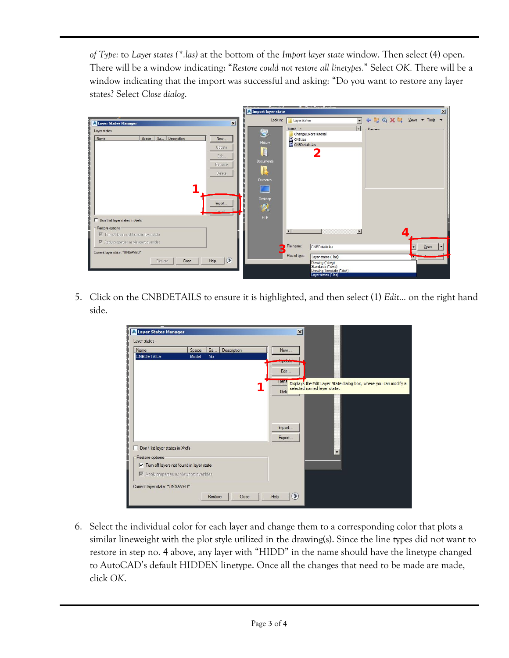*of Type:* to *Layer states (\*.las)* at the bottom of the *Import layer state* window. Then select (4) open. There will be a window indicating: "*Restore could not restore all linetypes.*" Select *OK*. There will be a window indicating that the import was successful and asking: "Do you want to restore any layer states? Select *Close dialog*.

|                                                                                                                                                                 | <b>I</b> Import layer state<br>$\vert x \vert$                                                                                                                                          |
|-----------------------------------------------------------------------------------------------------------------------------------------------------------------|-----------------------------------------------------------------------------------------------------------------------------------------------------------------------------------------|
| 冈<br><b>Journal</b> Layer States Manager                                                                                                                        | ← Q X E Views + Tools +<br>$\overline{\phantom{a}}$<br>Look in:<br>LayerStates                                                                                                          |
| ī.<br>Layer states<br>Space   Sa<br>Description<br>Name<br>New<br>どうしょう しょうしょう しょうしょう<br>Undate<br>Edit.<br>Rename<br>Delete<br>Import<br>Evnort                | Name $\triangleq$<br>▾▏<br>Preview<br>罗<br>ChangeColorsTutorial<br>CNB.las<br>CNBDetails.las<br>History<br><b>Documents</b><br>Favorites<br>Desktop<br>嘎                                |
| Don't list layer states in Xrefs<br>Restore options                                                                                                             | <b>FTP</b><br>$\vert \vert$<br>$\blacktriangleright$                                                                                                                                    |
| V Turn off layers not found in layer state<br>Ⅳ Apply properties as viewport overrides<br>Current layer state: "UNSAVED"<br>$\circ$<br>Help<br>Restore<br>Close | File name:<br><b>CNBDetails las</b><br>l.<br>$\overline{\phantom{0}}$<br>Open<br>Cancel<br>Files of type:<br>Layer states (*.las)<br><b>May</b><br>Drawing (".dwg)<br>Standards (".dws) |
|                                                                                                                                                                 | Drawing Template (".dwt)<br>Layer states (*las)                                                                                                                                         |

5. Click on the CNBDETAILS to ensure it is highlighted, and then select (1) *Edit…* on the right hand side.

|                                           | Sa<br>Description<br>Space | New                                                                                                                    |
|-------------------------------------------|----------------------------|------------------------------------------------------------------------------------------------------------------------|
| <b>CNBDETAILS</b>                         | Model<br>No                | Lindad                                                                                                                 |
|                                           |                            | Edit                                                                                                                   |
|                                           |                            | <b>Rena</b><br>Displays the Edit Layer State dialog box, where you can modify a<br>selected named layer state.<br>Dele |
|                                           |                            | Import<br>Export                                                                                                       |
|                                           |                            |                                                                                                                        |
| Don't list layer states in Xrefs          |                            |                                                                                                                        |
| Restore options                           |                            |                                                                                                                        |
| V Tum off layers not found in layer state |                            |                                                                                                                        |

6. Select the individual color for each layer and change them to a corresponding color that plots a similar lineweight with the plot style utilized in the drawing(s). Since the line types did not want to restore in step no. 4 above, any layer with "HIDD" in the name should have the linetype changed to AutoCAD's default HIDDEN linetype. Once all the changes that need to be made are made, click *OK*.